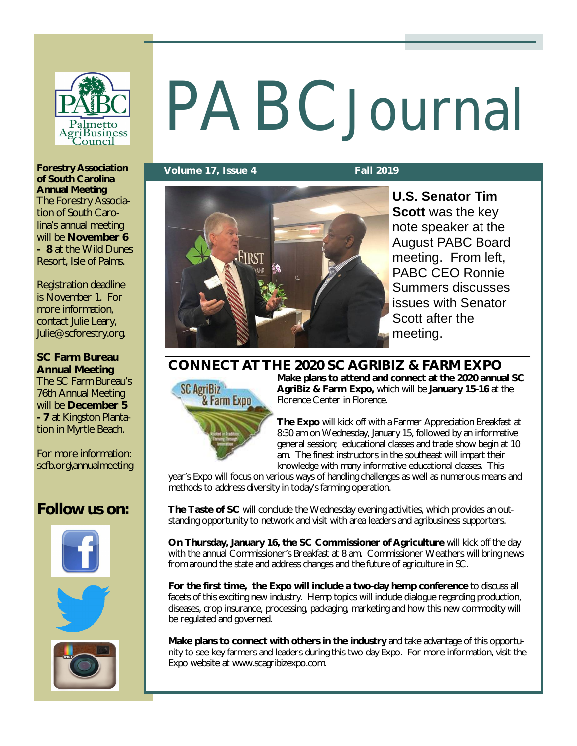

# PABCJournal

**Volume 17, Issue 4 Fall 2019**



**U.S. Senator Tim Scott** was the key note speaker at the August PABC Board meeting. From left, PABC CEO Ronnie Summers discusses issues with Senator Scott after the meeting.

**CONNECT AT THE 2020 SC AGRIBIZ & FARM EXPO**



**Make plans to attend and connect at the 2020 annual SC AgriBiz & Farm Expo,** which will be **January 15-16** at the Florence Center in Florence.

**The Expo** will kick off with a Farmer Appreciation Breakfast at 8:30 am on Wednesday, January 15, followed by an informative general session; educational classes and trade show begin at 10 am. The finest instructors in the southeast will impart their knowledge with many informative educational classes. This

year's Expo will focus on various ways of handling challenges as well as numerous means and methods to address diversity in today's farming operation.

**The Taste of SC** will conclude the Wednesday evening activities, which provides an outstanding opportunity to network and visit with area leaders and agribusiness supporters.

**On Thursday, January 16, the SC Commissioner of Agriculture** will kick off the day with the annual Commissioner's Breakfast at 8 am. Commissioner Weathers will bring news from around the state and address changes and the future of agriculture in SC.

**For the first time, the Expo will include a two-day hemp conference** to discuss all facets of this exciting new industry. Hemp topics will include dialogue regarding production, diseases, crop insurance, processing, packaging, marketing and how this new commodity will be regulated and governed.

**Make plans to connect with others in the industry** and take advantage of this opportunity to see key farmers and leaders during this two day Expo. For more information, visit the Expo website at [www.scagribizexpo.com.](http://www.scagribizexpo.com.)

**Forestry Association of South Carolina Annual Meeting** The Forestry Association of South Carolina's annual meeting will be **November 6 - 8** at the Wild Dunes Resort, Isle of Palms.

Registration deadline is November 1. For more information, contact Julie Leary, [Julie@scforestry.org.](mailto:Julie@scforestry.org.)

**SC Farm Bureau Annual Meeting** The SC Farm Bureau's

76th Annual Meeting will be **December 5 - 7** at Kingston Plantation in Myrtle Beach.

For more information: scfb.org\annualmeeting

# **Follow us on:**



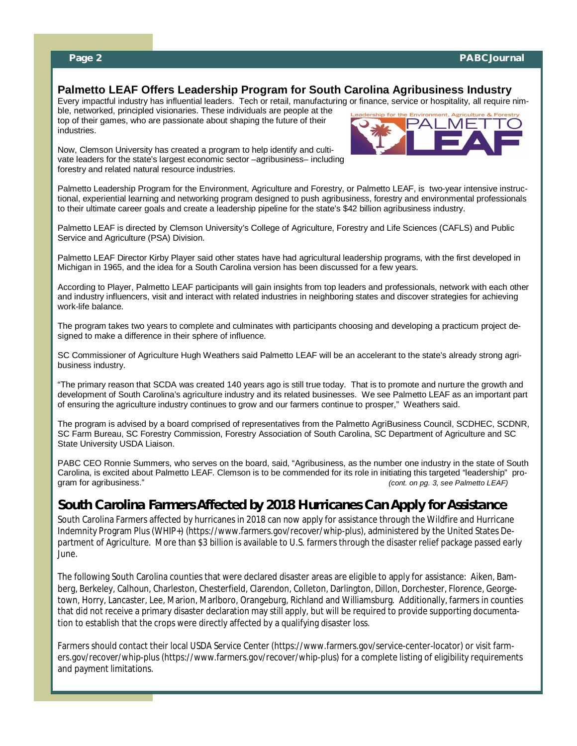#### **Palmetto LEAF Offers Leadership Program for South Carolina Agribusiness Industry**

Every impactful industry has influential leaders. Tech or retail, manufacturing or finance, service or hospitality, all require nim-

ble, networked, principled visionaries. These individuals are people at the top of their games, who are passionate about shaping the future of their industries.



Now, Clemson University has created a program to help identify and cultivate leaders for the state's largest economic sector –agribusiness– including forestry and related natural resource industries.

Palmetto Leadership Program for the Environment, Agriculture and Forestry, or Palmetto LEAF, is two-year intensive instructional, experiential learning and networking program designed to push agribusiness, forestry and environmental professionals to their ultimate career goals and create a leadership pipeline for the state's \$42 billion agribusiness industry.

Palmetto LEAF is directed by Clemson University's College of Agriculture, Forestry and Life Sciences (CAFLS) and Public Service and Agriculture (PSA) Division.

Palmetto LEAF Director Kirby Player said other states have had agricultural leadership programs, with the first developed in Michigan in 1965, and the idea for a South Carolina version has been discussed for a few years.

According to Player, Palmetto LEAF participants will gain insights from top leaders and professionals, network with each other and industry influencers, visit and interact with related industries in neighboring states and discover strategies for achieving work-life balance.

The program takes two years to complete and culminates with participants choosing and developing a practicum project designed to make a difference in their sphere of influence.

SC Commissioner of Agriculture Hugh Weathers said Palmetto LEAF will be an accelerant to the state's already strong agribusiness industry.

"The primary reason that SCDA was created 140 years ago is still true today. That is to promote and nurture the growth and development of South Carolina's agriculture industry and its related businesses. We see Palmetto LEAF as an important part of ensuring the agriculture industry continues to grow and our farmers continue to prosper," Weathers said.

The program is advised by a board comprised of representatives from the Palmetto AgriBusiness Council, SCDHEC, SCDNR, SC Farm Bureau, SC Forestry Commission, Forestry Association of South Carolina, SC Department of Agriculture and SC State University USDA Liaison.

PABC CEO Ronnie Summers, who serves on the board, said, "Agribusiness, as the number one industry in the state of South Carolina, is excited about Palmetto LEAF. Clemson is to be commended for its role in initiating this targeted "leadership" pro-<br> *gram* for agribusiness." (*cont. on pg. 3, see Palmetto LEAF*) (cont. on pg. 3, see Palmetto LEAF)

#### *South Carolina Farmers Affected by 2018 Hurricanes Can Apply for Assistance*

South Carolina Farmers affected by hurricanes in 2018 can now apply for assistance through the Wildfire and Hurricane Indemnity Program Plus (WHIP+) [\(https://www.farmers.gov/recover/whip-plus\),](https://www.farmers.gov/recover/whip-plus),) administered by the United States Department of Agriculture. More than \$3 billion is available to U.S. farmers through the disaster relief package passed early June.

The following South Carolina counties that were declared disaster areas are eligible to apply for assistance: Aiken, Bamberg, Berkeley, Calhoun, Charleston, Chesterfield, Clarendon, Colleton, Darlington, Dillon, Dorchester, Florence, Georgetown, Horry, Lancaster, Lee, Marion, Marlboro, Orangeburg, Richland and Williamsburg. Additionally, farmers in counties that did not receive a primary disaster declaration may still apply, but will be required to provide supporting documentation to establish that the crops were directly affected by a qualifying disaster loss.

Farmers should contact their local USDA Service Center [\(https://www.farmers.gov/service-center-locator\)](https://www.farmers.gov/service-center-locator)) or visit farmers.gov/recover/whip-plus [\(https://www.farmers.gov/recover/whip-plus\)](https://www.farmers.gov/recover/whip-plus)) for a complete listing of eligibility requirements and payment limitations.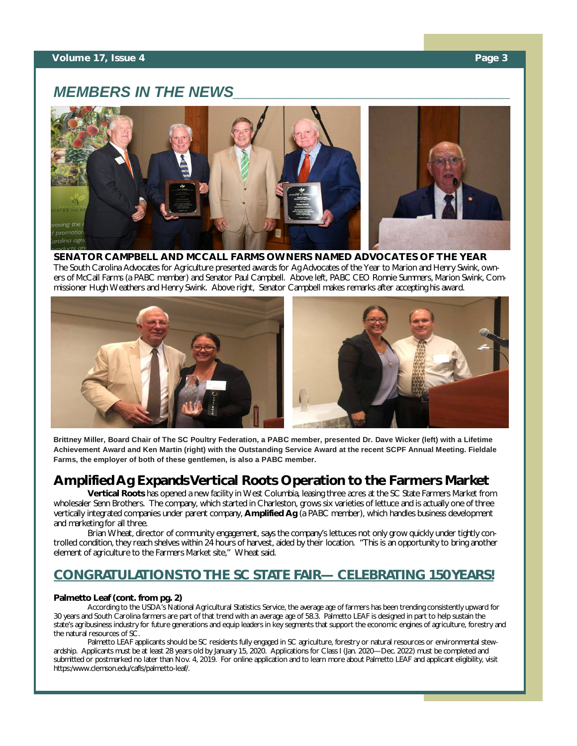#### **Volume 17, Issue 4 Page 3**

### *MEMBERS IN THE NEWS\_\_\_\_\_\_\_\_\_\_\_\_\_\_\_\_\_\_\_\_\_\_\_\_\_\_\_\_\_\_\_\_\_*



**SENATOR CAMPBELL AND MCCALL FARMS OWNERS NAMED ADVOCATES OF THE YEAR** The South Carolina Advocates for Agriculture presented awards for Ag Advocates of the Year to Marion and Henry Swink, owners of McCall Farms (a PABC member) and Senator Paul Campbell. Above left, PABC CEO Ronnie Summers, Marion Swink, Commissioner Hugh Weathers and Henry Swink. Above right, Senator Campbell makes remarks after accepting his award.



**Brittney Miller, Board Chair of The SC Poultry Federation, a PABC member, presented Dr. Dave Wicker (left) with a Lifetime Achievement Award and Ken Martin (right) with the Outstanding Service Award at the recent SCPF Annual Meeting. Fieldale Farms, the employer of both of these gentlemen, is also a PABC member.** 

#### **Amplified Ag Expands Vertical Roots Operation to the Farmers Market**

**Vertical Roots** has opened a new facility in West Columbia, leasing three acres at the SC State Farmers Market from wholesaler Senn Brothers. The company, which started in Charleston, grows six varieties of lettuce and is actually one of three vertically integrated companies under parent company, **Amplified Ag** (a PABC member), which handles business development and marketing for all three.

Brian Wheat, director of community engagement, says the company's lettuces not only grow quickly under tightly controlled condition, they reach shelves within 24 hours of harvest, aided by their location. "This is an opportunity to bring another element of agriculture to the Farmers Market site," Wheat said.

#### *CONGRATULATIONS TO THE SC STATE FAIR— CELEBRATING 150 YEARS!*

#### **Palmetto Leaf (cont. from pg. 2)**

According to the USDA's National Agricultural Statistics Service, the average age of farmers has been trending consistently upward for 30 years and South Carolina farmers are part of that trend with an average age of 58.3. Palmetto LEAF is designed in part to help sustain the state's agribusiness industry for future generations and equip leaders in key segments that support the economic engines of agriculture, forestry and the natural resources of SC.

Palmetto LEAF applicants should be SC residents fully engaged in SC agriculture, forestry or natural resources or environmental stewardship. Applicants must be at least 28 years old by January 15, 2020. Applications for Class I (Jan. 2020—Dec. 2022) must be completed and submitted or postmarked no later than Nov. 4, 2019. For online application and to learn more about Palmetto LEAF and applicant eligibility, visit https:[/www.clemson.edu/cafls/palmetto-leaf/.](http://www.clemson.edu/cafls/palmetto-leaf/.)